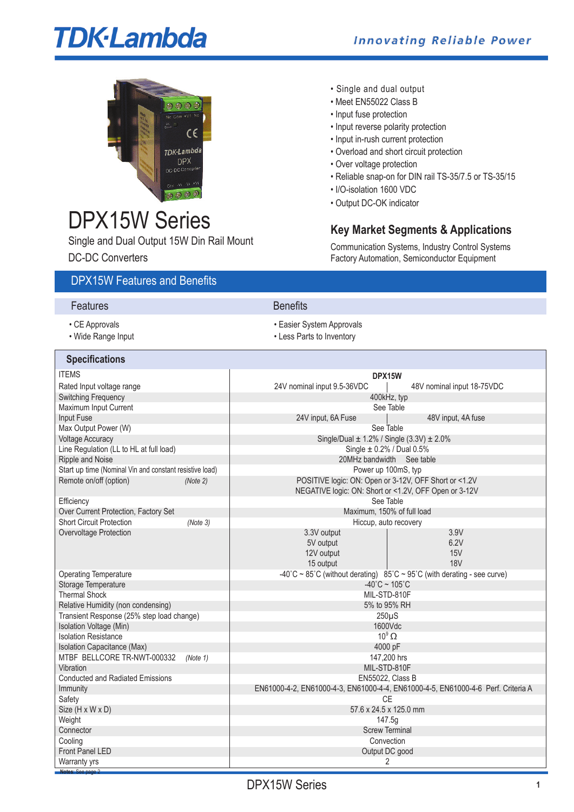# **TDK-Lambda**



# DPX15W Series

Single and Dual Output 15W Din Rail Mount DC-DC Converters

- Single and dual output
- Meet EN55022 Class B
- Input fuse protection
- Input reverse polarity protection
- Input in-rush current protection
- Overload and short circuit protection
- Over voltage protection
- Reliable snap-on for DIN rail TS-35/7.5 or TS-35/15
- I/O-isolation 1600 VDC
- Output DC-OK indicator

# **Key Market Segments & Applications**

Communication Systems, Industry Control Systems Factory Automation, Semiconductor Equipment

## DPX15W Features and Benefits

| Features           | <b>Benefits</b>           |
|--------------------|---------------------------|
| • CE Approvals     | • Easier System Approvals |
| • Wide Range Input | • Less Parts to Inventory |

| <b>Specifications</b>                                   |                                                                                   |  |  |  |  |
|---------------------------------------------------------|-----------------------------------------------------------------------------------|--|--|--|--|
| <b>ITEMS</b>                                            | DPX15W                                                                            |  |  |  |  |
| Rated Input voltage range                               | 24V nominal input 9.5-36VDC<br>48V nominal input 18-75VDC                         |  |  |  |  |
| <b>Switching Frequency</b>                              | 400kHz, typ                                                                       |  |  |  |  |
| Maximum Input Current                                   | See Table                                                                         |  |  |  |  |
| Input Fuse                                              | 24V input, 6A Fuse<br>48V input, 4A fuse                                          |  |  |  |  |
| Max Output Power (W)                                    | See Table                                                                         |  |  |  |  |
| <b>Voltage Accuracy</b>                                 | Single/Dual $\pm$ 1.2% / Single (3.3V) $\pm$ 2.0%                                 |  |  |  |  |
| Line Regulation (LL to HL at full load)                 | Single $\pm$ 0.2% / Dual 0.5%                                                     |  |  |  |  |
| Ripple and Noise                                        | 20MHz bandwidth See table                                                         |  |  |  |  |
| Start up time (Nominal Vin and constant resistive load) | Power up 100mS, typ                                                               |  |  |  |  |
| Remote on/off (option)<br>(Note 2)                      | POSITIVE logic: ON: Open or 3-12V, OFF Short or <1.2V                             |  |  |  |  |
|                                                         | NEGATIVE logic: ON: Short or <1.2V, OFF Open or 3-12V                             |  |  |  |  |
| Efficiency                                              | See Table                                                                         |  |  |  |  |
| Over Current Protection, Factory Set                    | Maximum, 150% of full load                                                        |  |  |  |  |
| <b>Short Circuit Protection</b><br>(Note 3)             | Hiccup, auto recovery<br>3.9V                                                     |  |  |  |  |
| Overvoltage Protection                                  | 3.3V output<br>6.2V                                                               |  |  |  |  |
|                                                         | 5V output<br><b>15V</b>                                                           |  |  |  |  |
|                                                         | 12V output<br><b>18V</b><br>15 output                                             |  |  |  |  |
| <b>Operating Temperature</b>                            | -40°C ~ 85°C (without derating) $85^{\circ}$ C ~ 95°C (with derating - see curve) |  |  |  |  |
| Storage Temperature                                     | $-40^{\circ}$ C ~ 105 $^{\circ}$ C                                                |  |  |  |  |
| <b>Thermal Shock</b>                                    | MIL-STD-810F                                                                      |  |  |  |  |
| Relative Humidity (non condensing)                      | 5% to 95% RH                                                                      |  |  |  |  |
| Transient Response (25% step load change)               | $250\mu S$                                                                        |  |  |  |  |
| Isolation Voltage (Min)                                 | 1600Vdc                                                                           |  |  |  |  |
| <b>Isolation Resistance</b>                             | $10^9 \Omega$                                                                     |  |  |  |  |
| Isolation Capacitance (Max)                             | 4000 pF                                                                           |  |  |  |  |
| MTBF BELLCORE TR-NWT-000332<br>(Note 1)                 | 147,200 hrs                                                                       |  |  |  |  |
| Vibration                                               | MIL-STD-810F                                                                      |  |  |  |  |
| <b>Conducted and Radiated Emissions</b>                 | <b>EN55022. Class B</b>                                                           |  |  |  |  |
| Immunity                                                | EN61000-4-2, EN61000-4-3, EN61000-4-4, EN61000-4-5, EN61000-4-6 Perf. Criteria A  |  |  |  |  |
| Safety                                                  | <b>CE</b>                                                                         |  |  |  |  |
| Size (H x W x D)                                        | 57.6 x 24.5 x 125.0 mm                                                            |  |  |  |  |
| Weight                                                  | 147.5g                                                                            |  |  |  |  |
| Connector                                               | <b>Screw Terminal</b>                                                             |  |  |  |  |
| Cooling                                                 | Convection                                                                        |  |  |  |  |
| <b>Front Panel LED</b>                                  | Output DC good                                                                    |  |  |  |  |
| Warranty yrs                                            | 2                                                                                 |  |  |  |  |
| Notes: See page                                         |                                                                                   |  |  |  |  |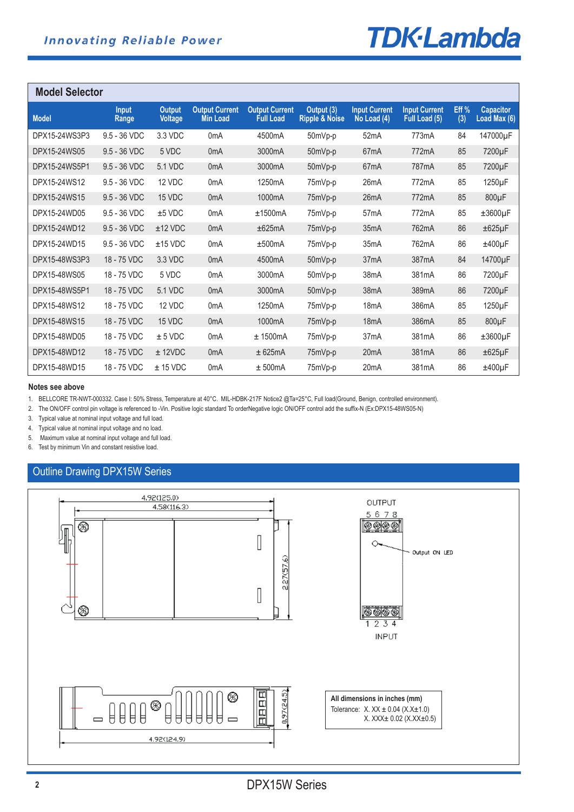# **TDK**-Lambda

| <b>Model Selector</b> |                       |                                 |                                   |                                           |                              |                                     |                                       |             |                                  |
|-----------------------|-----------------------|---------------------------------|-----------------------------------|-------------------------------------------|------------------------------|-------------------------------------|---------------------------------------|-------------|----------------------------------|
| <b>Model</b>          | <b>Input</b><br>Range | <b>Output</b><br><b>Voltage</b> | <b>Output Current</b><br>Min Load | <b>Output Current</b><br><b>Full Load</b> | Output (3)<br>Ripple & Noise | <b>Input Current</b><br>No Load (4) | <b>Input Current</b><br>Full Load (5) | Eff%<br>(3) | <b>Capacitor</b><br>Load Max (6) |
| DPX15-24WS3P3         | 9.5 - 36 VDC          | 3.3 VDC                         | 0 <sub>m</sub> A                  | 4500mA                                    | 50mVp-p                      | 52 <sub>m</sub> A                   | 773mA                                 | 84          | 147000µF                         |
| DPX15-24WS05          | 9.5 - 36 VDC          | 5 VDC                           | 0 <sub>m</sub> A                  | 3000mA                                    | 50mVp-p                      | 67 <sub>m</sub> A                   | 772mA                                 | 85          | 7200µF                           |
| DPX15-24WS5P1         | 9.5 - 36 VDC          | 5.1 VDC                         | 0 <sub>m</sub> A                  | 3000mA                                    | 50mVp-p                      | 67 <sub>m</sub> A                   | 787mA                                 | 85          | 7200µF                           |
| DPX15-24WS12          | 9.5 - 36 VDC          | 12 VDC                          | 0 <sub>m</sub> A                  | 1250 <sub>m</sub> A                       | 75mVp-p                      | 26mA                                | 772mA                                 | 85          | 1250µF                           |
| DPX15-24WS15          | 9.5 - 36 VDC          | 15 VDC                          | 0 <sub>m</sub> A                  | 1000mA                                    | 75mVp-p                      | 26mA                                | 772mA                                 | 85          | 800µF                            |
| DPX15-24WD05          | 9.5 - 36 VDC          | $±5$ VDC                        | 0 <sub>m</sub> A                  | ±1500mA                                   | 75mVp-p                      | 57 <sub>m</sub> A                   | 772mA                                 | 85          | $±3600\mu F$                     |
| DPX15-24WD12          | 9.5 - 36 VDC          | $±12$ VDC                       | 0 <sub>m</sub> A                  | ±625mA                                    | 75mVp-p                      | 35mA                                | 762mA                                 | 86          | $\pm 625 \mu F$                  |
| DPX15-24WD15          | $9.5 - 36$ VDC        | $±15$ VDC                       | 0 <sub>m</sub> A                  | ±500mA                                    | 75mVp-p                      | 35 <sub>m</sub> A                   | 762mA                                 | 86          | $±400\mu F$                      |
| DPX15-48WS3P3         | 18 - 75 VDC           | 3.3 VDC                         | 0 <sub>m</sub> A                  | 4500mA                                    | 50mVp-p                      | 37 <sub>m</sub> A                   | 387mA                                 | 84          | 14700µF                          |
| DPX15-48WS05          | 18 - 75 VDC           | 5 VDC                           | 0 <sub>m</sub> A                  | 3000mA                                    | 50mVp-p                      | 38 <sub>m</sub> A                   | 381 <sub>m</sub> A                    | 86          | 7200µF                           |
| DPX15-48WS5P1         | 18 - 75 VDC           | 5.1 VDC                         | 0 <sub>m</sub> A                  | 3000mA                                    | 50mVp-p                      | 38mA                                | 389 <sub>m</sub> A                    | 86          | 7200µF                           |
| DPX15-48WS12          | 18 - 75 VDC           | 12 VDC                          | 0 <sub>m</sub> A                  | 1250mA                                    | 75mVp-p                      | 18 <sub>m</sub> A                   | 386mA                                 | 85          | 1250µF                           |
| DPX15-48WS15          | 18 - 75 VDC           | 15 VDC                          | 0 <sub>m</sub> A                  | 1000mA                                    | 75mVp-p                      | 18mA                                | 386mA                                 | 85          | 800µF                            |
| DPX15-48WD05          | 18 - 75 VDC           | ± 5 VDC                         | 0 <sub>m</sub> A                  | $±$ 1500mA                                | 75mVp-p                      | 37 <sub>m</sub> A                   | 381 <sub>m</sub> A                    | 86          | $±3600\mu F$                     |
| DPX15-48WD12          | 18 - 75 VDC           | $±$ 12VDC                       | 0 <sub>m</sub> A                  | ± 625mA                                   | 75mVp-p                      | 20 <sub>m</sub> A                   | 381mA                                 | 86          | $±625\mu F$                      |
| DPX15-48WD15          | 18 - 75 VDC           | $± 15$ VDC                      | 0 <sub>m</sub> A                  | ± 500mA                                   | 75mVp-p                      | 20 <sub>m</sub> A                   | 381 <sub>m</sub> A                    | 86          | $±400\mu F$                      |

#### **Notes see above**

1. BELLCORE TR-NWT-000332. Case I: 50% Stress, Temperature at 40°C. MIL-HDBK-217F Notice2 @Ta=25°C, Full load(Ground, Benign, controlled environment).

2. The ON/OFF control pin voltage is referenced to -Vin. Positive logic standard To orderNegative logic ON/OFF control add the suffix-N (Ex:DPX15-48WS05-N)

3. Typical value at nominal input voltage and full load.

4. Typical value at nominal input voltage and no load.

5. Maximum value at nominal input voltage and full load.

6. Test by minimum Vin and constant resistive load.

### Outline Drawing DPX15W Series

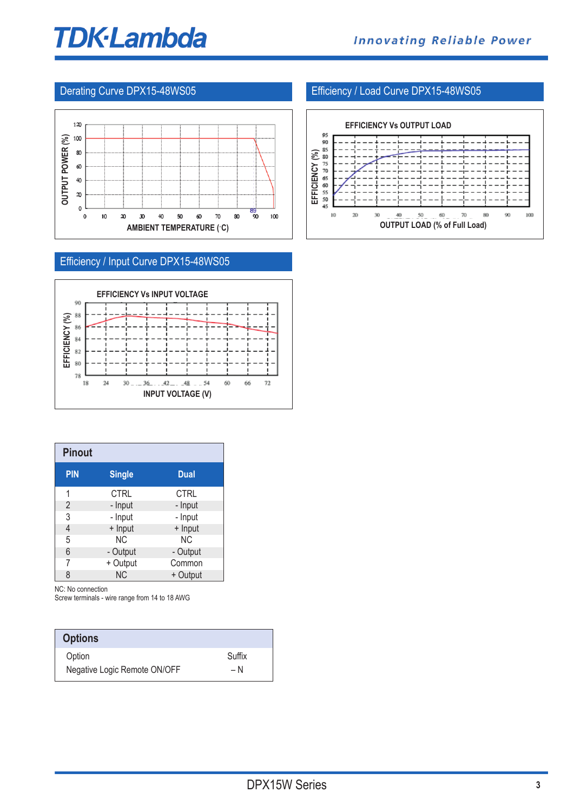# **TDK-Lambda**



# Efficiency / Input Curve DPX15-48WS05



| <b>Pinout</b>  |               |             |
|----------------|---------------|-------------|
| <b>PIN</b>     | <b>Single</b> | <b>Dual</b> |
| 1              | <b>CTRL</b>   | <b>CTRL</b> |
| $\overline{2}$ | - Input       | - Input     |
| 3              | - Input       | - Input     |
| 4              | + Input       | + Input     |
| 5              | ΝC            | ΝC          |
| 6              | - Output      | - Output    |
| 7              | + Output      | Common      |
| 8              | <b>NC</b>     | + Output    |

NC: No connection

Screw terminals - wire range from 14 to 18 AWG

| <b>Options</b>               |        |
|------------------------------|--------|
| Option                       | Suffix |
| Negative Logic Remote ON/OFF | – N    |

### Derating Curve DPX15-48WS05 **Efficiency / Load Curve DPX15-48WS05**